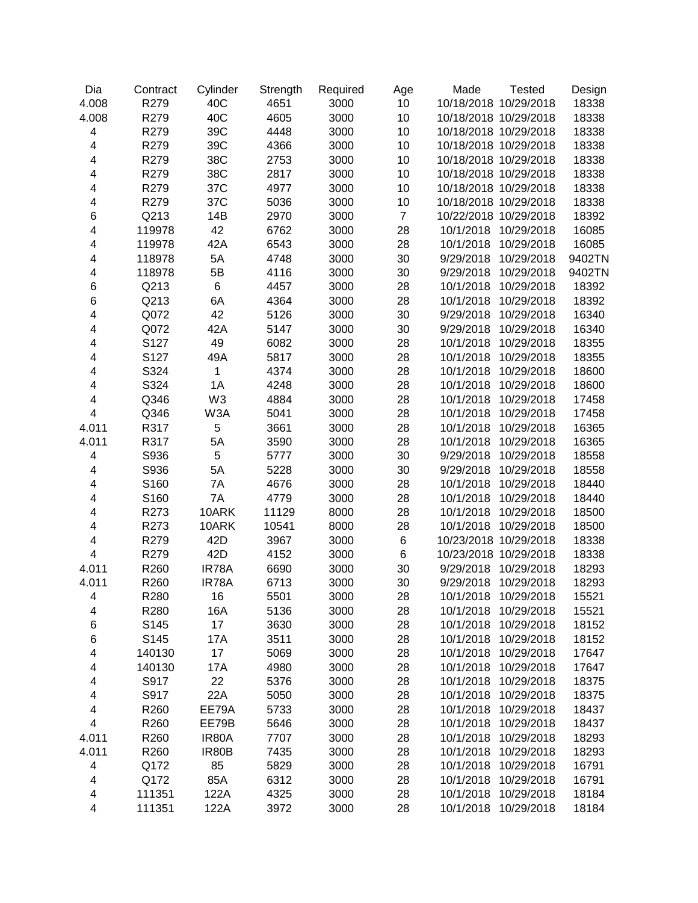| Dia                     | Contract | Cylinder       | Strength | Required | Age            | Made<br><b>Tested</b>   | Design |
|-------------------------|----------|----------------|----------|----------|----------------|-------------------------|--------|
| 4.008                   | R279     | 40C            | 4651     | 3000     | 10             | 10/18/2018 10/29/2018   | 18338  |
| 4.008                   | R279     | 40C            | 4605     | 3000     | 10             | 10/18/2018 10/29/2018   | 18338  |
| $\overline{\mathbf{4}}$ | R279     | 39C            | 4448     | 3000     | 10             | 10/18/2018 10/29/2018   | 18338  |
| $\overline{\mathbf{4}}$ | R279     | 39C            | 4366     | 3000     | 10             | 10/18/2018 10/29/2018   | 18338  |
| $\overline{\mathbf{4}}$ | R279     | 38C            | 2753     | 3000     | 10             | 10/18/2018 10/29/2018   | 18338  |
| $\overline{\mathbf{4}}$ | R279     | 38C            | 2817     | 3000     | 10             | 10/18/2018 10/29/2018   | 18338  |
| 4                       | R279     | 37C            | 4977     | 3000     | 10             | 10/18/2018 10/29/2018   | 18338  |
| 4                       | R279     | 37C            | 5036     | 3000     | 10             | 10/18/2018 10/29/2018   | 18338  |
| 6                       | Q213     | 14B            | 2970     | 3000     | $\overline{7}$ | 10/22/2018 10/29/2018   | 18392  |
| 4                       | 119978   | 42             | 6762     | 3000     | 28             | 10/1/2018<br>10/29/2018 | 16085  |
| 4                       | 119978   | 42A            | 6543     | 3000     | 28             | 10/1/2018<br>10/29/2018 | 16085  |
| 4                       | 118978   | 5A             | 4748     | 3000     | 30             | 9/29/2018<br>10/29/2018 | 9402TN |
| 4                       | 118978   | 5B             | 4116     | 3000     | 30             | 10/29/2018<br>9/29/2018 | 9402TN |
| 6                       | Q213     | 6              | 4457     | 3000     | 28             | 10/29/2018<br>10/1/2018 | 18392  |
| 6                       | Q213     | 6A             | 4364     | 3000     | 28             | 10/29/2018<br>10/1/2018 | 18392  |
| 4                       | Q072     | 42             | 5126     | 3000     | 30             | 10/29/2018<br>9/29/2018 | 16340  |
| 4                       | Q072     | 42A            | 5147     | 3000     | 30             | 10/29/2018<br>9/29/2018 | 16340  |
| 4                       | S127     | 49             | 6082     | 3000     | 28             | 10/29/2018<br>10/1/2018 | 18355  |
| 4                       | S127     | 49A            | 5817     | 3000     | 28             | 10/29/2018<br>10/1/2018 | 18355  |
| 4                       | S324     | $\mathbf{1}$   | 4374     | 3000     | 28             | 10/29/2018<br>10/1/2018 | 18600  |
| 4                       | S324     | 1A             | 4248     | 3000     | 28             | 10/29/2018<br>10/1/2018 | 18600  |
| $\overline{\mathbf{4}}$ | Q346     | W <sub>3</sub> | 4884     | 3000     | 28             | 10/29/2018<br>10/1/2018 | 17458  |
| $\overline{\mathbf{4}}$ | Q346     | W3A            | 5041     | 3000     | 28             | 10/1/2018<br>10/29/2018 | 17458  |
| 4.011                   | R317     | 5              | 3661     | 3000     | 28             | 10/29/2018<br>10/1/2018 | 16365  |
| 4.011                   | R317     | 5A             | 3590     | 3000     | 28             | 10/1/2018<br>10/29/2018 | 16365  |
| 4                       | S936     | 5              | 5777     | 3000     | 30             | 9/29/2018<br>10/29/2018 | 18558  |
| 4                       | S936     | 5A             | 5228     | 3000     | 30             | 10/29/2018<br>9/29/2018 | 18558  |
| 4                       | S160     | 7A             | 4676     | 3000     | 28             | 10/1/2018<br>10/29/2018 | 18440  |
| 4                       | S160     | 7A             | 4779     | 3000     | 28             | 10/1/2018<br>10/29/2018 | 18440  |
| 4                       | R273     | 10ARK          | 11129    | 8000     | 28             | 10/1/2018<br>10/29/2018 | 18500  |
| 4                       | R273     | 10ARK          | 10541    | 8000     | 28             | 10/1/2018<br>10/29/2018 | 18500  |
| 4                       | R279     | 42D            | 3967     | 3000     | $\,6$          | 10/23/2018 10/29/2018   | 18338  |
| $\overline{\mathbf{4}}$ | R279     | 42D            | 4152     | 3000     | $\,6\,$        | 10/23/2018 10/29/2018   | 18338  |
| 4.011                   | R260     | IR78A          | 6690     | 3000     | 30             | 9/29/2018 10/29/2018    | 18293  |
| 4.011                   | R260     | IR78A          | 6713     | 3000     | 30             | 9/29/2018 10/29/2018    | 18293  |
| 4                       | R280     | 16             | 5501     | 3000     | 28             | 10/1/2018 10/29/2018    | 15521  |
| 4                       | R280     | 16A            | 5136     | 3000     | 28             | 10/1/2018<br>10/29/2018 | 15521  |
| 6                       | S145     | 17             | 3630     | 3000     | 28             | 10/1/2018<br>10/29/2018 | 18152  |
| 6                       | S145     | 17A            | 3511     | 3000     | 28             | 10/1/2018<br>10/29/2018 | 18152  |
| 4                       | 140130   | 17             | 5069     | 3000     | 28             | 10/1/2018<br>10/29/2018 | 17647  |
| 4                       | 140130   | 17A            | 4980     | 3000     | 28             | 10/1/2018<br>10/29/2018 | 17647  |
| 4                       | S917     | 22             | 5376     | 3000     | 28             | 10/1/2018<br>10/29/2018 | 18375  |
| 4                       | S917     | 22A            | 5050     | 3000     | 28             | 10/1/2018<br>10/29/2018 | 18375  |
| 4                       | R260     | EE79A          | 5733     | 3000     | 28             | 10/1/2018<br>10/29/2018 | 18437  |
| $\overline{\mathbf{4}}$ | R260     | EE79B          | 5646     | 3000     | 28             | 10/1/2018<br>10/29/2018 | 18437  |
| 4.011                   | R260     | IR80A          | 7707     | 3000     | 28             | 10/1/2018<br>10/29/2018 | 18293  |
| 4.011                   | R260     | IR80B          | 7435     | 3000     | 28             | 10/1/2018<br>10/29/2018 | 18293  |
| 4                       | Q172     | 85             | 5829     | 3000     | 28             | 10/1/2018<br>10/29/2018 | 16791  |
| 4                       | Q172     | 85A            | 6312     | 3000     | 28             | 10/1/2018<br>10/29/2018 | 16791  |
| 4                       | 111351   | 122A           | 4325     | 3000     | 28             | 10/1/2018<br>10/29/2018 | 18184  |
| $\overline{\mathbf{4}}$ | 111351   | 122A           | 3972     | 3000     | 28             | 10/1/2018<br>10/29/2018 | 18184  |
|                         |          |                |          |          |                |                         |        |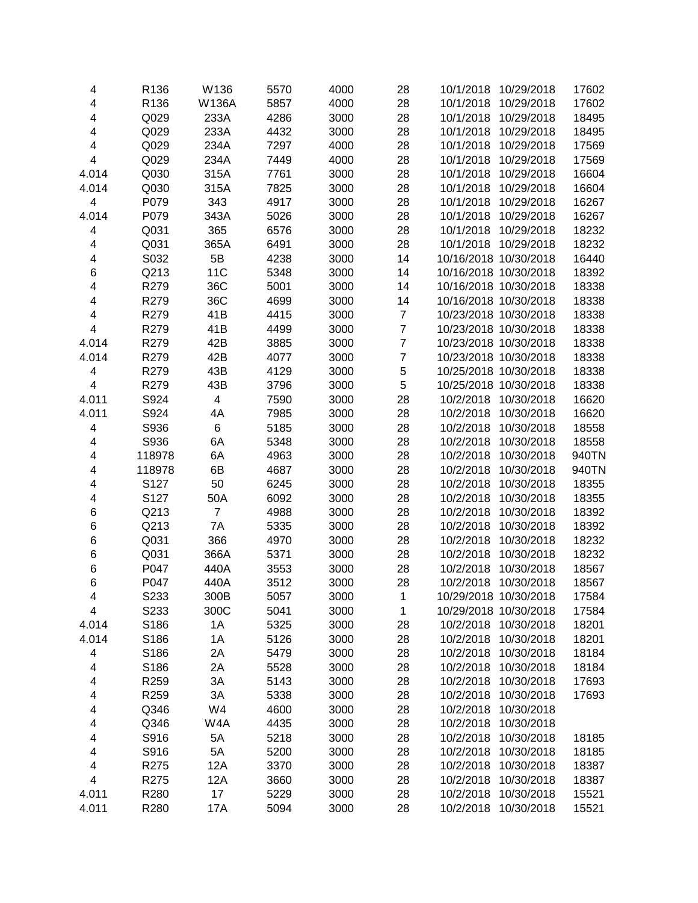| 4                       | R136              | W136           | 5570 | 4000 | 28             | 10/1/2018<br>10/29/2018 | 17602 |
|-------------------------|-------------------|----------------|------|------|----------------|-------------------------|-------|
| $\overline{\mathbf{4}}$ | R136              | <b>W136A</b>   | 5857 | 4000 | 28             | 10/29/2018<br>10/1/2018 | 17602 |
| $\overline{\mathbf{4}}$ | Q029              | 233A           | 4286 | 3000 | 28             | 10/29/2018<br>10/1/2018 | 18495 |
| 4                       | Q029              | 233A           | 4432 | 3000 | 28             | 10/29/2018<br>10/1/2018 | 18495 |
| 4                       | Q029              | 234A           | 7297 | 4000 | 28             | 10/1/2018<br>10/29/2018 | 17569 |
| $\overline{\mathbf{4}}$ | Q029              | 234A           | 7449 | 4000 | 28             | 10/1/2018<br>10/29/2018 | 17569 |
| 4.014                   | Q030              | 315A           | 7761 | 3000 | 28             | 10/29/2018<br>10/1/2018 | 16604 |
| 4.014                   | Q030              | 315A           | 7825 | 3000 | 28             | 10/29/2018<br>10/1/2018 | 16604 |
| $\overline{\mathbf{4}}$ | P079              | 343            | 4917 | 3000 | 28             | 10/1/2018<br>10/29/2018 | 16267 |
| 4.014                   | P079              | 343A           | 5026 | 3000 | 28             | 10/29/2018<br>10/1/2018 | 16267 |
| 4                       | Q031              | 365            | 6576 | 3000 | 28             | 10/29/2018<br>10/1/2018 | 18232 |
| 4                       | Q031              | 365A           | 6491 | 3000 | 28             | 10/29/2018<br>10/1/2018 | 18232 |
| 4                       | S032              | 5B             | 4238 | 3000 | 14             | 10/16/2018 10/30/2018   | 16440 |
| 6                       | Q213              | <b>11C</b>     | 5348 | 3000 | 14             | 10/16/2018 10/30/2018   | 18392 |
| 4                       | R279              | 36C            | 5001 | 3000 | 14             | 10/16/2018 10/30/2018   | 18338 |
| $\overline{\mathbf{4}}$ | R279              | 36C            | 4699 | 3000 | 14             | 10/16/2018 10/30/2018   | 18338 |
| $\overline{\mathbf{4}}$ | R279              | 41B            | 4415 | 3000 | $\overline{7}$ | 10/23/2018 10/30/2018   | 18338 |
| $\overline{\mathbf{4}}$ | R279              | 41B            | 4499 | 3000 | $\overline{7}$ | 10/23/2018 10/30/2018   | 18338 |
| 4.014                   | R279              | 42B            | 3885 | 3000 | $\overline{7}$ | 10/23/2018 10/30/2018   | 18338 |
| 4.014                   | R279              | 42B            | 4077 | 3000 | $\overline{7}$ | 10/23/2018 10/30/2018   | 18338 |
| 4                       | R279              | 43B            | 4129 | 3000 | 5              | 10/25/2018 10/30/2018   | 18338 |
| $\overline{\mathbf{4}}$ | R279              | 43B            | 3796 | 3000 | 5              | 10/25/2018 10/30/2018   | 18338 |
| 4.011                   | S924              | 4              | 7590 | 3000 | 28             | 10/2/2018<br>10/30/2018 | 16620 |
| 4.011                   | S924              | 4A             | 7985 | 3000 | 28             | 10/2/2018<br>10/30/2018 | 16620 |
| $\overline{\mathbf{4}}$ | S936              | $\,6\,$        | 5185 | 3000 | 28             | 10/2/2018<br>10/30/2018 | 18558 |
| 4                       | S936              | 6A             | 5348 | 3000 | 28             | 10/2/2018<br>10/30/2018 | 18558 |
| 4                       | 118978            | 6A             | 4963 | 3000 | 28             | 10/2/2018<br>10/30/2018 | 940TN |
| 4                       | 118978            | 6B             | 4687 | 3000 | 28             | 10/2/2018<br>10/30/2018 | 940TN |
| 4                       | S127              | 50             | 6245 | 3000 | 28             | 10/2/2018<br>10/30/2018 | 18355 |
| 4                       | S127              | 50A            | 6092 | 3000 | 28             | 10/2/2018<br>10/30/2018 | 18355 |
| 6                       | Q213              | $\overline{7}$ | 4988 | 3000 | 28             | 10/2/2018<br>10/30/2018 | 18392 |
| 6                       | Q213              | 7A             | 5335 | 3000 | 28             | 10/2/2018<br>10/30/2018 | 18392 |
| 6                       | Q031              | 366            | 4970 | 3000 | 28             | 10/2/2018<br>10/30/2018 | 18232 |
| 6                       | Q031              | 366A           | 5371 | 3000 | 28             | 10/30/2018<br>10/2/2018 | 18232 |
|                         | P047              | 440A           |      |      |                | 10/30/2018              |       |
| 6                       |                   |                | 3553 | 3000 | 28             | 10/2/2018               | 18567 |
| 6                       | P047              | 440A           | 3512 | 3000 | 28             | 10/30/2018<br>10/2/2018 | 18567 |
| 4                       | S <sub>2</sub> 33 | 300B           | 5057 | 3000 | 1              | 10/29/2018 10/30/2018   | 17584 |
| 4                       | S233              | 300C           | 5041 | 3000 | 1              | 10/29/2018 10/30/2018   | 17584 |
| 4.014                   | S186              | 1A             | 5325 | 3000 | 28             | 10/30/2018<br>10/2/2018 | 18201 |
| 4.014                   | S186              | 1A             | 5126 | 3000 | 28             | 10/2/2018<br>10/30/2018 | 18201 |
| 4                       | S186              | 2A             | 5479 | 3000 | 28             | 10/2/2018<br>10/30/2018 | 18184 |
| 4                       | S186              | 2A             | 5528 | 3000 | 28             | 10/2/2018<br>10/30/2018 | 18184 |
| 4                       | R <sub>259</sub>  | 3A             | 5143 | 3000 | 28             | 10/2/2018<br>10/30/2018 | 17693 |
| 4                       | R259              | 3A             | 5338 | 3000 | 28             | 10/2/2018<br>10/30/2018 | 17693 |
| 4                       | Q346              | W4             | 4600 | 3000 | 28             | 10/2/2018<br>10/30/2018 |       |
| 4                       | Q346              | W4A            | 4435 | 3000 | 28             | 10/2/2018<br>10/30/2018 |       |
| 4                       | S916              | 5A             | 5218 | 3000 | 28             | 10/2/2018<br>10/30/2018 | 18185 |
| 4                       | S916              | 5A             | 5200 | 3000 | 28             | 10/2/2018<br>10/30/2018 | 18185 |
| $\overline{\mathbf{4}}$ | R275              | 12A            | 3370 | 3000 | 28             | 10/2/2018<br>10/30/2018 | 18387 |
| $\overline{\mathbf{4}}$ | R275              | 12A            | 3660 | 3000 | 28             | 10/30/2018<br>10/2/2018 | 18387 |
| 4.011                   | R280              | 17             | 5229 | 3000 | 28             | 10/2/2018<br>10/30/2018 | 15521 |
| 4.011                   | R280              | 17A            | 5094 | 3000 | 28             | 10/30/2018<br>10/2/2018 | 15521 |
|                         |                   |                |      |      |                |                         |       |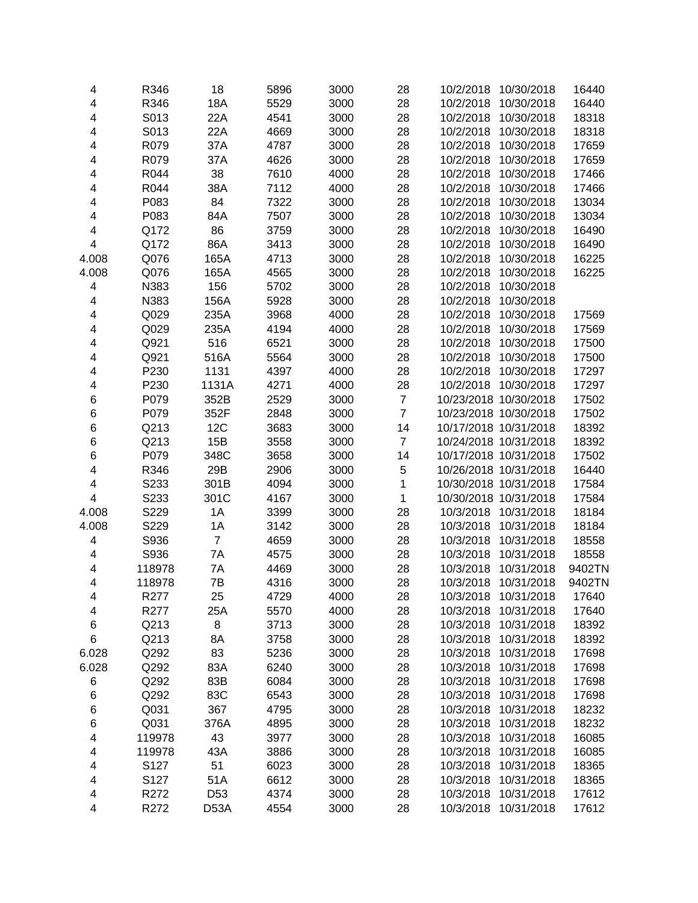| 4                       | R346   | 18                | 5896 | 3000 | 28             | 10/2/2018<br>10/30/2018 | 16440  |
|-------------------------|--------|-------------------|------|------|----------------|-------------------------|--------|
| 4                       | R346   | <b>18A</b>        | 5529 | 3000 | 28             | 10/2/2018<br>10/30/2018 | 16440  |
| 4                       | S013   | 22A               | 4541 | 3000 | 28             | 10/30/2018<br>10/2/2018 | 18318  |
| 4                       | S013   | 22A               | 4669 | 3000 | 28             | 10/2/2018<br>10/30/2018 | 18318  |
| 4                       | R079   | 37A               | 4787 | 3000 | 28             | 10/2/2018<br>10/30/2018 | 17659  |
| 4                       | R079   | 37A               | 4626 | 3000 | 28             | 10/30/2018<br>10/2/2018 | 17659  |
| 4                       | R044   | 38                | 7610 | 4000 | 28             | 10/2/2018<br>10/30/2018 | 17466  |
| 4                       | R044   | 38A               | 7112 | 4000 | 28             | 10/2/2018<br>10/30/2018 | 17466  |
| 4                       | P083   | 84                | 7322 | 3000 | 28             | 10/2/2018<br>10/30/2018 | 13034  |
| 4                       | P083   | 84A               | 7507 | 3000 | 28             | 10/2/2018<br>10/30/2018 | 13034  |
| 4                       | Q172   | 86                | 3759 | 3000 | 28             | 10/2/2018<br>10/30/2018 | 16490  |
| 4                       | Q172   | 86A               | 3413 | 3000 | 28             | 10/2/2018<br>10/30/2018 | 16490  |
| 4.008                   | Q076   | 165A              | 4713 | 3000 | 28             | 10/2/2018<br>10/30/2018 | 16225  |
| 4.008                   | Q076   | 165A              | 4565 | 3000 | 28             | 10/2/2018<br>10/30/2018 | 16225  |
| 4                       | N383   | 156               | 5702 | 3000 | 28             | 10/2/2018<br>10/30/2018 |        |
| 4                       | N383   | 156A              | 5928 | 3000 | 28             | 10/2/2018<br>10/30/2018 |        |
| 4                       | Q029   | 235A              | 3968 | 4000 | 28             | 10/2/2018<br>10/30/2018 | 17569  |
| 4                       | Q029   | 235A              | 4194 | 4000 | 28             | 10/2/2018<br>10/30/2018 | 17569  |
| 4                       | Q921   | 516               | 6521 | 3000 | 28             | 10/30/2018<br>10/2/2018 | 17500  |
| 4                       | Q921   | 516A              | 5564 | 3000 | 28             | 10/30/2018<br>10/2/2018 | 17500  |
| 4                       | P230   | 1131              | 4397 | 4000 | 28             | 10/2/2018<br>10/30/2018 | 17297  |
| 4                       | P230   | 1131A             | 4271 | 4000 | 28             | 10/30/2018<br>10/2/2018 | 17297  |
| 6                       | P079   | 352B              | 2529 | 3000 | $\overline{7}$ | 10/23/2018 10/30/2018   | 17502  |
| 6                       | P079   | 352F              | 2848 | 3000 | $\overline{7}$ | 10/23/2018 10/30/2018   | 17502  |
| 6                       | Q213   | 12C               | 3683 | 3000 | 14             | 10/17/2018 10/31/2018   | 18392  |
|                         | Q213   | 15B               | 3558 | 3000 | $\overline{7}$ | 10/24/2018 10/31/2018   | 18392  |
| 6                       |        |                   |      |      |                |                         |        |
| 6                       | P079   | 348C              | 3658 | 3000 | 14             | 10/17/2018 10/31/2018   | 17502  |
| 4                       | R346   | 29B               | 2906 | 3000 | 5              | 10/26/2018 10/31/2018   | 16440  |
| 4                       | S233   | 301B              | 4094 | 3000 | 1              | 10/30/2018 10/31/2018   | 17584  |
| $\overline{\mathbf{4}}$ | S233   | 301C              | 4167 | 3000 | $\mathbf 1$    | 10/30/2018 10/31/2018   | 17584  |
| 4.008                   | S229   | 1A                | 3399 | 3000 | 28             | 10/31/2018<br>10/3/2018 | 18184  |
| 4.008                   | S229   | 1A                | 3142 | 3000 | 28             | 10/3/2018<br>10/31/2018 | 18184  |
| 4                       | S936   | $\overline{7}$    | 4659 | 3000 | 28             | 10/3/2018<br>10/31/2018 | 18558  |
| 4                       | S936   | 7A                | 4575 | 3000 | 28             | 10/31/2018<br>10/3/2018 | 18558  |
| 4                       | 118978 | 7A                | 4469 | 3000 | 28             | 10/3/2018<br>10/31/2018 | 9402TN |
| 4                       | 118978 | 7B                | 4316 | 3000 | 28             | 10/31/2018<br>10/3/2018 | 9402TN |
| 4                       | R277   | 25                | 4729 | 4000 | 28             | 10/3/2018<br>10/31/2018 | 17640  |
| 4                       | R277   | 25A               | 5570 | 4000 | 28             | 10/3/2018<br>10/31/2018 | 17640  |
| 6                       | Q213   | 8                 | 3713 | 3000 | 28             | 10/31/2018<br>10/3/2018 | 18392  |
| 6                       | Q213   | 8A                | 3758 | 3000 | 28             | 10/3/2018<br>10/31/2018 | 18392  |
| 6.028                   | Q292   | 83                | 5236 | 3000 | 28             | 10/3/2018<br>10/31/2018 | 17698  |
| 6.028                   | Q292   | 83A               | 6240 | 3000 | 28             | 10/3/2018<br>10/31/2018 | 17698  |
| 6                       | Q292   | 83B               | 6084 | 3000 | 28             | 10/3/2018<br>10/31/2018 | 17698  |
| 6                       | Q292   | 83C               | 6543 | 3000 | 28             | 10/3/2018<br>10/31/2018 | 17698  |
| 6                       | Q031   | 367               | 4795 | 3000 | 28             | 10/3/2018<br>10/31/2018 | 18232  |
| 6                       | Q031   | 376A              | 4895 | 3000 | 28             | 10/3/2018<br>10/31/2018 | 18232  |
| 4                       | 119978 | 43                | 3977 | 3000 | 28             | 10/3/2018<br>10/31/2018 | 16085  |
| 4                       | 119978 | 43A               | 3886 | 3000 | 28             | 10/3/2018<br>10/31/2018 | 16085  |
| 4                       | S127   | 51                | 6023 | 3000 | 28             | 10/3/2018<br>10/31/2018 | 18365  |
| 4                       | S127   | 51A               | 6612 | 3000 | 28             | 10/31/2018<br>10/3/2018 | 18365  |
| 4                       | R272   | D <sub>53</sub>   | 4374 | 3000 | 28             | 10/3/2018<br>10/31/2018 | 17612  |
| 4                       | R272   | D <sub>53</sub> A | 4554 | 3000 | 28             | 10/31/2018<br>10/3/2018 | 17612  |
|                         |        |                   |      |      |                |                         |        |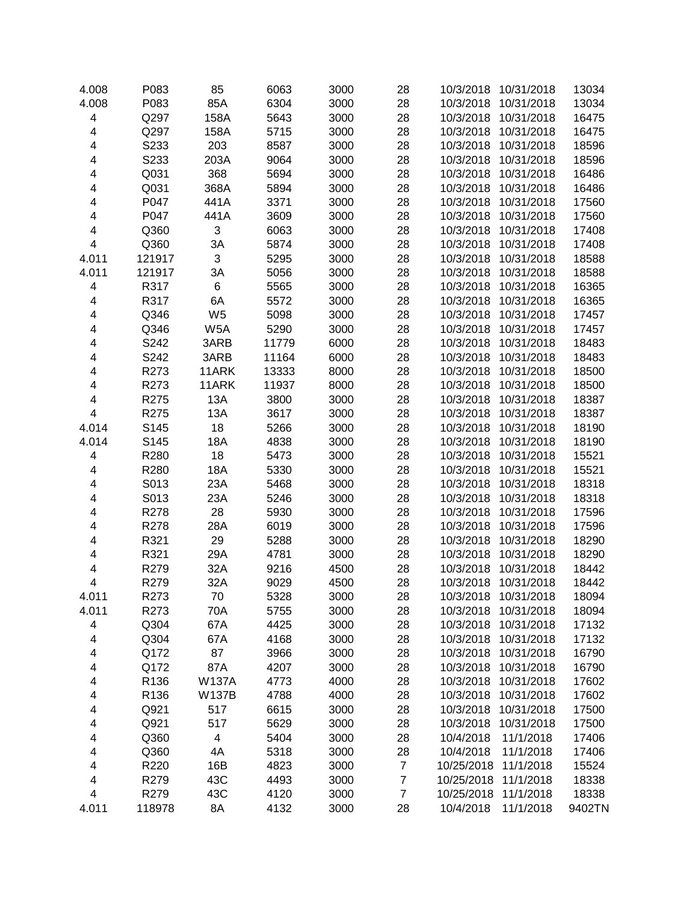| 4.008                   | P083   | 85                        | 6063  | 3000 | 28               | 10/3/2018<br>10/31/2018 | 13034  |
|-------------------------|--------|---------------------------|-------|------|------------------|-------------------------|--------|
| 4.008                   | P083   | 85A                       | 6304  | 3000 | 28               | 10/3/2018<br>10/31/2018 | 13034  |
| 4                       | Q297   | 158A                      | 5643  | 3000 | 28               | 10/31/2018<br>10/3/2018 | 16475  |
| $\overline{\mathbf{4}}$ | Q297   | 158A                      | 5715  | 3000 | 28               | 10/3/2018<br>10/31/2018 | 16475  |
| $\overline{\mathbf{4}}$ | S233   | 203                       | 8587  | 3000 | 28               | 10/31/2018<br>10/3/2018 | 18596  |
| 4                       | S233   | 203A                      | 9064  | 3000 | 28               | 10/3/2018<br>10/31/2018 | 18596  |
| 4                       | Q031   | 368                       | 5694  | 3000 | 28               | 10/3/2018<br>10/31/2018 | 16486  |
| 4                       | Q031   | 368A                      | 5894  | 3000 | 28               | 10/31/2018<br>10/3/2018 | 16486  |
| 4                       | P047   | 441A                      | 3371  | 3000 | 28               | 10/3/2018<br>10/31/2018 | 17560  |
| $\overline{\mathbf{4}}$ | P047   | 441A                      | 3609  | 3000 | 28               | 10/3/2018<br>10/31/2018 | 17560  |
| $\overline{\mathbf{4}}$ | Q360   | 3                         | 6063  | 3000 | 28               | 10/3/2018<br>10/31/2018 | 17408  |
| $\overline{\mathbf{4}}$ | Q360   | 3A                        | 5874  | 3000 | 28               | 10/3/2018<br>10/31/2018 | 17408  |
| 4.011                   | 121917 | $\ensuremath{\mathsf{3}}$ | 5295  | 3000 | 28               | 10/3/2018<br>10/31/2018 | 18588  |
| 4.011                   | 121917 | 3A                        | 5056  | 3000 | 28               | 10/3/2018<br>10/31/2018 | 18588  |
| $\overline{\mathbf{4}}$ | R317   | $\,6$                     | 5565  | 3000 | 28               | 10/3/2018<br>10/31/2018 | 16365  |
| $\overline{\mathbf{4}}$ | R317   | 6A                        | 5572  | 3000 | 28               | 10/3/2018<br>10/31/2018 | 16365  |
| $\overline{\mathbf{4}}$ | Q346   | W <sub>5</sub>            | 5098  | 3000 | 28               | 10/3/2018<br>10/31/2018 | 17457  |
| $\overline{\mathbf{4}}$ | Q346   | W <sub>5</sub> A          | 5290  | 3000 | 28               | 10/3/2018<br>10/31/2018 | 17457  |
| $\overline{\mathbf{4}}$ | S242   | 3ARB                      | 11779 | 6000 | 28               | 10/3/2018<br>10/31/2018 | 18483  |
| $\overline{\mathbf{4}}$ | S242   | 3ARB                      | 11164 | 6000 | 28               | 10/3/2018<br>10/31/2018 | 18483  |
| $\overline{\mathbf{4}}$ | R273   | 11ARK                     | 13333 | 8000 | 28               | 10/3/2018<br>10/31/2018 | 18500  |
| $\overline{\mathbf{4}}$ | R273   | 11ARK                     | 11937 | 8000 | 28               | 10/31/2018<br>10/3/2018 | 18500  |
| 4                       | R275   | 13A                       | 3800  | 3000 | 28               | 10/3/2018<br>10/31/2018 | 18387  |
| $\overline{\mathbf{4}}$ | R275   | 13A                       | 3617  | 3000 | 28               | 10/3/2018<br>10/31/2018 | 18387  |
| 4.014                   | S145   | 18                        | 5266  | 3000 | 28               | 10/3/2018<br>10/31/2018 | 18190  |
| 4.014                   | S145   | 18A                       | 4838  | 3000 | 28               | 10/3/2018<br>10/31/2018 | 18190  |
| $\overline{\mathbf{4}}$ | R280   | 18                        | 5473  | 3000 | 28               | 10/3/2018<br>10/31/2018 | 15521  |
| $\overline{\mathbf{4}}$ | R280   | 18A                       | 5330  | 3000 | 28               | 10/3/2018<br>10/31/2018 | 15521  |
| $\overline{\mathbf{4}}$ | S013   | 23A                       | 5468  | 3000 | 28               | 10/3/2018<br>10/31/2018 | 18318  |
| 4                       | S013   | 23A                       | 5246  | 3000 | 28               | 10/3/2018<br>10/31/2018 | 18318  |
| 4                       | R278   | 28                        | 5930  | 3000 | 28               | 10/3/2018<br>10/31/2018 | 17596  |
| $\overline{\mathbf{4}}$ | R278   | 28A                       | 6019  | 3000 | 28               | 10/3/2018<br>10/31/2018 | 17596  |
| $\overline{\mathbf{4}}$ | R321   | 29                        | 5288  | 3000 | 28               | 10/3/2018<br>10/31/2018 | 18290  |
| $\overline{\mathbf{4}}$ | R321   | 29A                       | 4781  | 3000 | 28               | 10/31/2018<br>10/3/2018 | 18290  |
| $\overline{\mathbf{4}}$ | R279   | 32A                       | 9216  | 4500 | 28               | 10/31/2018<br>10/3/2018 | 18442  |
| $\overline{\mathbf{4}}$ | R279   | 32A                       | 9029  | 4500 | 28               | 10/31/2018<br>10/3/2018 | 18442  |
| 4.011                   | R273   | 70                        | 5328  | 3000 | 28               | 10/3/2018<br>10/31/2018 | 18094  |
| 4.011                   | R273   | 70A                       | 5755  | 3000 | 28               | 10/3/2018<br>10/31/2018 | 18094  |
| 4                       | Q304   | 67A                       | 4425  | 3000 | 28               | 10/31/2018<br>10/3/2018 | 17132  |
| 4                       | Q304   | 67A                       | 4168  | 3000 | 28               | 10/3/2018<br>10/31/2018 | 17132  |
| 4                       | Q172   | 87                        | 3966  | 3000 | 28               | 10/3/2018<br>10/31/2018 | 16790  |
| 4                       | Q172   | 87A                       | 4207  | 3000 | 28               | 10/3/2018<br>10/31/2018 | 16790  |
| 4                       | R136   | <b>W137A</b>              | 4773  | 4000 | 28               | 10/3/2018<br>10/31/2018 | 17602  |
| 4                       | R136   | <b>W137B</b>              | 4788  | 4000 | 28               | 10/3/2018<br>10/31/2018 | 17602  |
| 4                       | Q921   | 517                       | 6615  | 3000 | 28               | 10/3/2018<br>10/31/2018 | 17500  |
| 4                       | Q921   | 517                       | 5629  | 3000 | 28               | 10/3/2018<br>10/31/2018 | 17500  |
| 4                       | Q360   | 4                         | 5404  | 3000 | 28               | 11/1/2018<br>10/4/2018  | 17406  |
| 4                       | Q360   | 4A                        | 5318  | 3000 | 28               | 10/4/2018<br>11/1/2018  | 17406  |
| 4                       | R220   | 16B                       | 4823  | 3000 | $\overline{7}$   | 11/1/2018<br>10/25/2018 | 15524  |
| 4                       | R279   | 43C                       | 4493  | 3000 | $\boldsymbol{7}$ | 10/25/2018<br>11/1/2018 | 18338  |
| $\overline{\mathbf{4}}$ | R279   | 43C                       | 4120  | 3000 | $\overline{7}$   | 11/1/2018<br>10/25/2018 | 18338  |
| 4.011                   | 118978 | 8A                        | 4132  | 3000 | 28               | 11/1/2018<br>10/4/2018  | 9402TN |
|                         |        |                           |       |      |                  |                         |        |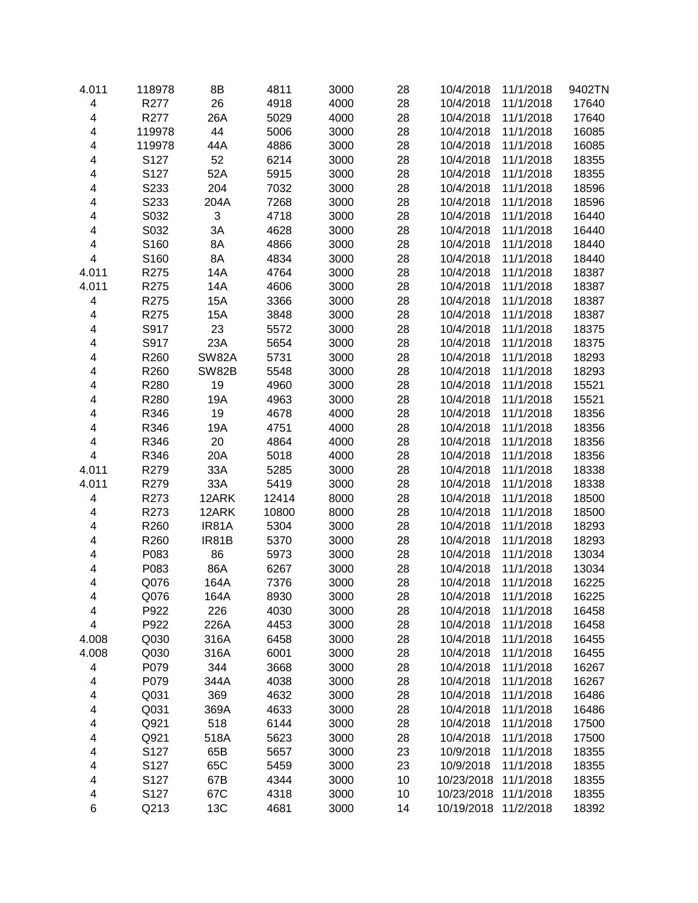| 4.011                   | 118978 | 8B           | 4811  | 3000 | 28 | 10/4/2018  | 11/1/2018 | 9402TN |
|-------------------------|--------|--------------|-------|------|----|------------|-----------|--------|
| $\overline{\mathbf{4}}$ | R277   | 26           | 4918  | 4000 | 28 | 10/4/2018  | 11/1/2018 | 17640  |
| $\overline{\mathbf{4}}$ | R277   | 26A          | 5029  | 4000 | 28 | 10/4/2018  | 11/1/2018 | 17640  |
| 4                       | 119978 | 44           | 5006  | 3000 | 28 | 10/4/2018  | 11/1/2018 | 16085  |
| 4                       | 119978 | 44A          | 4886  | 3000 | 28 | 10/4/2018  | 11/1/2018 | 16085  |
| 4                       | S127   | 52           | 6214  | 3000 | 28 | 10/4/2018  | 11/1/2018 | 18355  |
| 4                       | S127   | 52A          | 5915  | 3000 | 28 | 10/4/2018  | 11/1/2018 | 18355  |
| 4                       | S233   | 204          | 7032  | 3000 | 28 | 10/4/2018  | 11/1/2018 | 18596  |
| 4                       | S233   | 204A         | 7268  | 3000 | 28 | 10/4/2018  | 11/1/2018 | 18596  |
| 4                       | S032   | 3            | 4718  | 3000 | 28 | 10/4/2018  | 11/1/2018 | 16440  |
| 4                       | S032   | 3A           | 4628  | 3000 | 28 | 10/4/2018  | 11/1/2018 | 16440  |
| 4                       | S160   | 8A           | 4866  | 3000 | 28 | 10/4/2018  | 11/1/2018 | 18440  |
| 4                       | S160   | 8A           | 4834  | 3000 | 28 | 10/4/2018  | 11/1/2018 | 18440  |
| 4.011                   | R275   | 14A          | 4764  | 3000 | 28 | 10/4/2018  | 11/1/2018 | 18387  |
| 4.011                   | R275   | 14A          | 4606  | 3000 | 28 | 10/4/2018  | 11/1/2018 | 18387  |
| $\overline{\mathbf{4}}$ | R275   | <b>15A</b>   | 3366  | 3000 | 28 | 10/4/2018  | 11/1/2018 | 18387  |
| $\overline{\mathbf{4}}$ | R275   | <b>15A</b>   | 3848  | 3000 | 28 | 10/4/2018  | 11/1/2018 | 18387  |
| 4                       | S917   | 23           | 5572  | 3000 | 28 | 10/4/2018  | 11/1/2018 | 18375  |
| 4                       | S917   | 23A          | 5654  | 3000 | 28 | 10/4/2018  | 11/1/2018 | 18375  |
| 4                       | R260   | <b>SW82A</b> | 5731  | 3000 | 28 | 10/4/2018  | 11/1/2018 | 18293  |
| 4                       | R260   |              |       |      |    |            |           |        |
|                         |        | <b>SW82B</b> | 5548  | 3000 | 28 | 10/4/2018  | 11/1/2018 | 18293  |
| 4                       | R280   | 19           | 4960  | 3000 | 28 | 10/4/2018  | 11/1/2018 | 15521  |
| 4                       | R280   | 19A          | 4963  | 3000 | 28 | 10/4/2018  | 11/1/2018 | 15521  |
| 4                       | R346   | 19           | 4678  | 4000 | 28 | 10/4/2018  | 11/1/2018 | 18356  |
| 4                       | R346   | 19A          | 4751  | 4000 | 28 | 10/4/2018  | 11/1/2018 | 18356  |
| 4                       | R346   | 20           | 4864  | 4000 | 28 | 10/4/2018  | 11/1/2018 | 18356  |
| 4                       | R346   | 20A          | 5018  | 4000 | 28 | 10/4/2018  | 11/1/2018 | 18356  |
| 4.011                   | R279   | 33A          | 5285  | 3000 | 28 | 10/4/2018  | 11/1/2018 | 18338  |
| 4.011                   | R279   | 33A          | 5419  | 3000 | 28 | 10/4/2018  | 11/1/2018 | 18338  |
| $\overline{\mathbf{4}}$ | R273   | 12ARK        | 12414 | 8000 | 28 | 10/4/2018  | 11/1/2018 | 18500  |
| 4                       | R273   | 12ARK        | 10800 | 8000 | 28 | 10/4/2018  | 11/1/2018 | 18500  |
| 4                       | R260   | IR81A        | 5304  | 3000 | 28 | 10/4/2018  | 11/1/2018 | 18293  |
| 4                       | R260   | IR81B        | 5370  | 3000 | 28 | 10/4/2018  | 11/1/2018 | 18293  |
| 4                       | P083   | 86           | 5973  | 3000 | 28 | 10/4/2018  | 11/1/2018 | 13034  |
| 4                       | P083   | 86A          | 6267  | 3000 | 28 | 10/4/2018  | 11/1/2018 | 13034  |
| 4                       | Q076   | 164A         | 7376  | 3000 | 28 | 10/4/2018  | 11/1/2018 | 16225  |
| 4                       | Q076   | 164A         | 8930  | 3000 | 28 | 10/4/2018  | 11/1/2018 | 16225  |
| 4                       | P922   | 226          | 4030  | 3000 | 28 | 10/4/2018  | 11/1/2018 | 16458  |
| 4                       | P922   | 226A         | 4453  | 3000 | 28 | 10/4/2018  | 11/1/2018 | 16458  |
| 4.008                   | Q030   | 316A         | 6458  | 3000 | 28 | 10/4/2018  | 11/1/2018 | 16455  |
| 4.008                   | Q030   | 316A         | 6001  | 3000 | 28 | 10/4/2018  | 11/1/2018 | 16455  |
| 4                       | P079   | 344          | 3668  | 3000 | 28 | 10/4/2018  | 11/1/2018 | 16267  |
| 4                       | P079   | 344A         | 4038  | 3000 | 28 | 10/4/2018  | 11/1/2018 | 16267  |
| 4                       | Q031   | 369          | 4632  | 3000 | 28 | 10/4/2018  | 11/1/2018 | 16486  |
| 4                       | Q031   | 369A         | 4633  | 3000 | 28 | 10/4/2018  | 11/1/2018 | 16486  |
| 4                       | Q921   | 518          | 6144  | 3000 | 28 | 10/4/2018  | 11/1/2018 | 17500  |
| 4                       | Q921   | 518A         | 5623  | 3000 | 28 | 10/4/2018  | 11/1/2018 | 17500  |
| 4                       | S127   | 65B          | 5657  | 3000 | 23 | 10/9/2018  | 11/1/2018 | 18355  |
| 4                       | S127   | 65C          | 5459  | 3000 | 23 | 10/9/2018  | 11/1/2018 | 18355  |
| 4                       | S127   | 67B          | 4344  | 3000 | 10 | 10/23/2018 | 11/1/2018 | 18355  |
| 4                       | S127   | 67C          | 4318  | 3000 | 10 | 10/23/2018 | 11/1/2018 | 18355  |
| 6                       | Q213   | 13C          | 4681  | 3000 | 14 | 10/19/2018 | 11/2/2018 | 18392  |
|                         |        |              |       |      |    |            |           |        |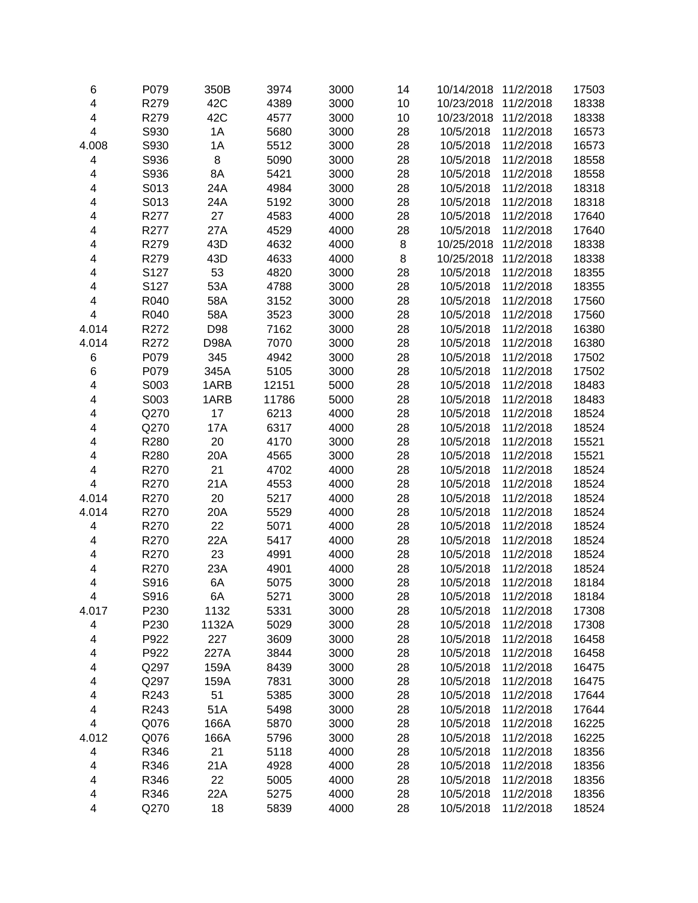| 6                       | P079         | 350B         | 3974  | 3000         | 14       | 10/14/2018 | 11/2/2018 | 17503          |
|-------------------------|--------------|--------------|-------|--------------|----------|------------|-----------|----------------|
| $\overline{\mathbf{4}}$ | R279         | 42C          | 4389  | 3000         | 10       | 10/23/2018 | 11/2/2018 | 18338          |
| $\overline{\mathbf{4}}$ | R279         | 42C          | 4577  | 3000         | 10       | 10/23/2018 | 11/2/2018 | 18338          |
| $\overline{\mathbf{4}}$ | S930         | 1A           | 5680  | 3000         | 28       | 10/5/2018  | 11/2/2018 | 16573          |
| 4.008                   | S930         | 1A           | 5512  | 3000         | 28       | 10/5/2018  | 11/2/2018 | 16573          |
| 4                       | S936         | 8            | 5090  | 3000         | 28       | 10/5/2018  | 11/2/2018 | 18558          |
| 4                       | S936         | 8A           | 5421  | 3000         | 28       | 10/5/2018  | 11/2/2018 | 18558          |
| 4                       | S013         | 24A          | 4984  | 3000         | 28       | 10/5/2018  | 11/2/2018 | 18318          |
| 4                       | S013         | 24A          | 5192  | 3000         | 28       | 10/5/2018  | 11/2/2018 | 18318          |
| 4                       | R277         | 27           | 4583  | 4000         | 28       | 10/5/2018  | 11/2/2018 | 17640          |
| 4                       | R277         | 27A          | 4529  | 4000         | 28       | 10/5/2018  | 11/2/2018 | 17640          |
| 4                       | R279         | 43D          | 4632  | 4000         | 8        | 10/25/2018 | 11/2/2018 | 18338          |
| 4                       | R279         | 43D          | 4633  | 4000         | 8        | 10/25/2018 | 11/2/2018 | 18338          |
| 4                       | S127         | 53           | 4820  | 3000         | 28       | 10/5/2018  | 11/2/2018 | 18355          |
| 4                       | S127         | 53A          | 4788  | 3000         | 28       | 10/5/2018  | 11/2/2018 | 18355          |
| 4                       | R040         | 58A          | 3152  | 3000         | 28       | 10/5/2018  | 11/2/2018 | 17560          |
| $\overline{\mathbf{4}}$ | R040         | 58A          | 3523  | 3000         | 28       | 10/5/2018  | 11/2/2018 | 17560          |
| 4.014                   | R272         | D98          | 7162  | 3000         | 28       | 10/5/2018  | 11/2/2018 | 16380          |
| 4.014                   | R272         | D98A         | 7070  | 3000         | 28       | 10/5/2018  | 11/2/2018 | 16380          |
| 6                       | P079         | 345          | 4942  | 3000         | 28       | 10/5/2018  | 11/2/2018 | 17502          |
| 6                       | P079         | 345A         | 5105  | 3000         | 28       | 10/5/2018  | 11/2/2018 | 17502          |
| 4                       | S003         | 1ARB         | 12151 | 5000         | 28       | 10/5/2018  | 11/2/2018 | 18483          |
| 4                       | S003         | 1ARB         | 11786 | 5000         | 28       | 10/5/2018  | 11/2/2018 | 18483          |
| 4                       | Q270         | 17           | 6213  | 4000         | 28       | 10/5/2018  | 11/2/2018 | 18524          |
| 4                       | Q270         | 17A          | 6317  | 4000         | 28       | 10/5/2018  | 11/2/2018 | 18524          |
| 4                       | R280         | 20           | 4170  | 3000         | 28       | 10/5/2018  | 11/2/2018 | 15521          |
| 4                       | R280         | 20A          | 4565  | 3000         | 28       | 10/5/2018  | 11/2/2018 | 15521          |
| 4                       | R270         | 21           | 4702  | 4000         | 28       | 10/5/2018  | 11/2/2018 | 18524          |
| $\overline{\mathbf{4}}$ | R270         | 21A          | 4553  | 4000         | 28       | 10/5/2018  | 11/2/2018 | 18524          |
| 4.014                   | R270         | 20           | 5217  | 4000         | 28       | 10/5/2018  | 11/2/2018 | 18524          |
| 4.014                   | R270         | 20A          | 5529  | 4000         | 28       | 10/5/2018  | 11/2/2018 | 18524          |
| $\overline{\mathbf{4}}$ | R270         | 22           | 5071  | 4000         | 28       | 10/5/2018  | 11/2/2018 | 18524          |
| $\overline{\mathbf{4}}$ | R270         | 22A          | 5417  | 4000         | 28       | 10/5/2018  | 11/2/2018 | 18524          |
| $\overline{\mathbf{4}}$ | R270         | 23           | 4991  | 4000         | 28       | 10/5/2018  | 11/2/2018 | 18524          |
| $\overline{\mathbf{4}}$ | R270         | 23A          | 4901  | 4000         | 28       | 10/5/2018  | 11/2/2018 | 18524          |
| $\overline{\mathbf{4}}$ | S916         | 6A           | 5075  | 3000         | 28       | 10/5/2018  | 11/2/2018 | 18184          |
| 4                       |              |              | 5271  |              |          | 10/5/2018  | 11/2/2018 |                |
| 4.017                   | S916<br>P230 | 6A<br>1132   | 5331  | 3000<br>3000 | 28<br>28 | 10/5/2018  | 11/2/2018 | 18184<br>17308 |
|                         | P230         | 1132A        | 5029  | 3000         | 28       | 10/5/2018  | 11/2/2018 | 17308          |
| 4                       | P922         | 227          | 3609  | 3000         | 28       |            |           | 16458          |
| 4                       | P922         | 227A         |       |              | 28       | 10/5/2018  | 11/2/2018 |                |
| 4                       |              |              | 3844  | 3000         |          | 10/5/2018  | 11/2/2018 | 16458          |
| 4                       | Q297         | 159A<br>159A | 8439  | 3000         | 28       | 10/5/2018  | 11/2/2018 | 16475          |
| 4                       | Q297         |              | 7831  | 3000<br>3000 | 28       | 10/5/2018  | 11/2/2018 | 16475          |
| 4                       | R243         | 51           | 5385  |              | 28       | 10/5/2018  | 11/2/2018 | 17644          |
| 4                       | R243         | 51A          | 5498  | 3000         | 28       | 10/5/2018  | 11/2/2018 | 17644          |
| $\overline{\mathbf{4}}$ | Q076         | 166A         | 5870  | 3000         | 28       | 10/5/2018  | 11/2/2018 | 16225          |
| 4.012                   | Q076         | 166A         | 5796  | 3000         | 28       | 10/5/2018  | 11/2/2018 | 16225          |
| 4                       | R346         | 21           | 5118  | 4000         | 28       | 10/5/2018  | 11/2/2018 | 18356          |
| 4                       | R346         | 21A          | 4928  | 4000         | 28       | 10/5/2018  | 11/2/2018 | 18356          |
| 4                       | R346         | 22           | 5005  | 4000         | 28       | 10/5/2018  | 11/2/2018 | 18356          |
| 4                       | R346         | 22A          | 5275  | 4000         | 28       | 10/5/2018  | 11/2/2018 | 18356          |
| $\overline{\mathbf{4}}$ | Q270         | 18           | 5839  | 4000         | 28       | 10/5/2018  | 11/2/2018 | 18524          |